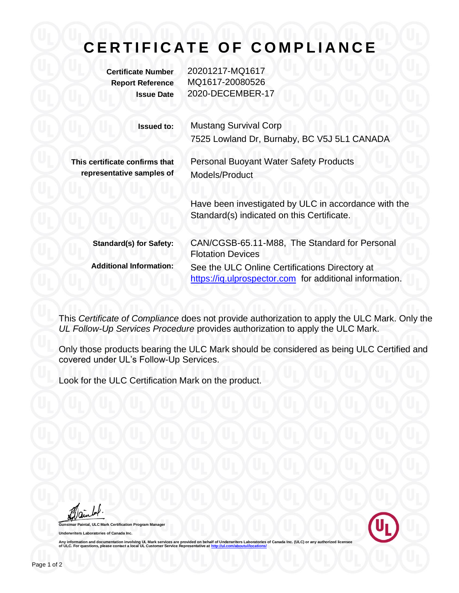## **CERTIFICATE OF COMPLIANCE**

**Certificate Number** 20201217-MQ1617 **Report Reference** MQ1617-20080526 **Issue Date** 2020-DECEMBER-17

| <b>Issued to:</b>                                           | <b>Mustang Survival Corp</b><br>7525 Lowland Dr, Burnaby, BC V5J 5L1 CANADA                               |  |  |
|-------------------------------------------------------------|-----------------------------------------------------------------------------------------------------------|--|--|
| This certificate confirms that<br>representative samples of | <b>Personal Buoyant Water Safety Products</b><br>Models/Product                                           |  |  |
|                                                             | Have been investigated by ULC in accordance with the<br>Standard(s) indicated on this Certificate.        |  |  |
| <b>Standard(s) for Safety:</b>                              | CAN/CGSB-65.11-M88, The Standard for Personal<br><b>Flotation Devices</b>                                 |  |  |
| <b>Additional Information:</b>                              | See the ULC Online Certifications Directory at<br>https://iq.ulprospector.com for additional information. |  |  |

This *Certificate of Compliance* does not provide authorization to apply the ULC Mark. Only the *UL Follow-Up Services Procedure* provides authorization to apply the ULC Mark.

Only those products bearing the ULC Mark should be considered as being ULC Certified and covered under UL's Follow-Up Services.

Look for the ULC Certification Mark on the product.

**Paintal, ULC Mark Certification Program Manager Underwriters Laboratories of Canada Inc.**



Any information and documentation involving UL Mark services are provided on behalf of Underwriters Laboratories of Canada Inc. (ULC) or any authorized licensee<br>of ULC. For questions, please contact a local UL Customer Ser